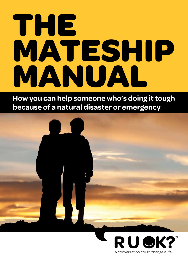# **THE MATESHIP MANUAL**

**How you can help someone who's doing it tough because of a natural disaster or emergency**



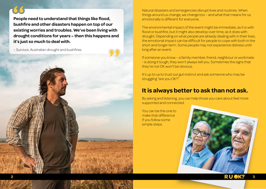

**2**

**People need to understand that things like flood, bushfire and other disasters happen on top of our existing worries and troubles. We've been living with drought conditions for years – then this happens and it's just so much to deal with.**

– Survivor, Australian drought and bushfires



Natural disasters and emergencies disrupt lives and routines. When things around us change, we change too – and what that means for us emotionally is different for everyone.

The environmental impact of the event might be immediate, as it is with flood or bushfire, but it might also develop over time, as it does with drought. Depending on what people are already dealing with in their lives, the emotional impact can be difficult for people to cope with both in the short and longer term. Some people may not experience distress until long after an event.

If someone you know – a family member, friend, neighbour or workmate - is doing it tough, they won't always tell you. Sometimes the signs that they're not OK won't be obvious.

It's up to us to trust our gut instinct and ask someone who may be struggling "are you OK?".

## **It is always better to ask than not ask.**

By asking and listening, you can help those you care about feel more supported and connected.

You can be the one to make that difference if you follow some simple steps.



**3**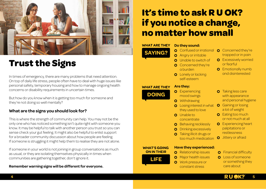

## **Trust the Signs**

In times of emergency, there are many problems that need attention. On top of daily life stress, people often have to deal with huge issues like personal safety, temporary housing and how to manage ongoing health concerns or disability requirements in uncertain times.

But how do you know when it is getting too much for someone and they're not doing so well mentally?

## **What are the signs you should look for?**

This is where the strength of community can help. You may not be the only one who has noticed something isn't quite right with someone you know. It may be helpful to talk with another person you trust so you can sense check your gut feeling. It might also be helpful to enlist support for a broader community discussion about how people are feeling. If someone is struggling it might help them to realise they are not alone.

If someone in your world is not joining in group conversations as much as usual, or they are isolating themselves physically in times when communities are gathering together, don't ignore it.

**Remember warning signs will be different for everyone.**

## **It's time to ask R U OK? if you notice a change, no matter how small**

### **WHAT ARE THEY**

**SAYING?** 

**DOING** 

**WHAT'S GOING ON IN THEIR** 

LIFF

- **Do they sound:**
- **O** Confused or irrational **O** Angry or irritable
- **Q** Unable to switch of
- **O** Concerned they're a burden
- **Q** Lonely or lacking self-esteem

### **Are they: WHAT ARE THEY**

- **O** Experiencing mood swings
- **O** Withdrawing
- **O** Losing interest in what they used to love
- **O** Unable to concentrate
- **O** Behaving recklessly
- **O** Drinking excessively
- **O** Taking illicit drugs or too much medication

### **Have they experienced:**

- **O** Relationship issues
- **O** Major health issues
- **O** Work pressure or constant stress

### **O** Concerned they're trapped or in pain

- **O** Excessively worried or fearful
- **O** Emotionally numb and disinterested
- **O** Taking less care with appearance and personal hygiene
- **O** Gaining or losing a lot of weight
- **O** Eating too much or not much at all
- **O** Experiencing heart palpitations or restlessness
- **O** Jittery or afraid
- **O** Financial difficulty
- **O** Loss of someone or something they care about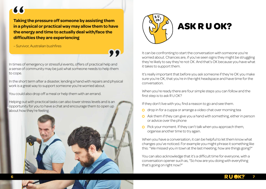## $\blacktriangle$   $\blacktriangle$

**Taking the pressure off someone by assisting them in a physical or practical way may allow them to have the energy and time to actually deal with/face the difficulties they are experiencing**

– Survivor, Australian bushfires

In times of emergency or stressful events, offers of practical help and a sense of community may be just what someone needs to help them to cope.

In the short term after a disaster, lending a hand with repairs and physical work is a great way to support someone you're worried about.

You could also drop off a meal or help them with an errand.

Helping out with practical tasks can also lower stress levels and is an opportunity for you to have a chat and encourage them to open up about how they're feeling.





**6 7**

## **ASK R U OK?**

It can be confronting to start the conversation with someone you're worried about. Chances are, if you've seen signs they might be struggling they're likely to say they're not OK. And that's OK because you have what it takes to support them.

It's really important that before you ask someone if they're OK you make sure you're OK, that you're in the right headspace and have time for the conversation.

When you're ready there are four simple steps you can follow and the first step is to ask R U OK?

If they don't live with you, find a reason to go and see them.

- o drop in for a cuppa or arrange a video chat over morning tea
- **O** Ask them if they can give you a hand with something, either in person or advice over the phone
- **O** Pick your moment. If they can't talk when you approach them, organise another time to try again.

When you have a conversation, it can be helpful to let them know what changes you've noticed. For example you might phrase it something like this: "We missed you in town at the last meeting, how are things going?"

You can also acknowledge that it's a difficult time for everyone, with a conversation opener such as, "So how are you doing with everything that's going on right now?"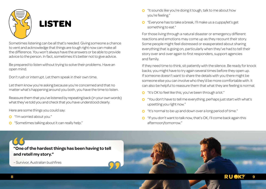

**LISTEN**

Sometimes listening can be all that's needed. Giving someone a chance to vent and acknowledge that things are tough right now can make all the difference. You won't always have the answers or be able to provide advice to the person. In fact, sometimes it's better not to give advice.

Be prepared to listen without trying to solve their problems. Have an open mind.

Don't rush or interrupt. Let them speak in their own time.

Let them know you're asking because you're concerned and that no matter what's happening around you both, you have the time to listen.

Reassure them that you've listened by repeating back (in your own words) what they've told you and check that you have understood clearly.

Here are some things you could say:

- "I'm worried about you."
- "Sometimes talking about it can really help."
- **O** "It sounds like you're doing it tough, talk to me about how you're feeling."
- "Everyone has to take a break, I'll make us a cuppa/let's get something to eat."

For those living through a natural disaster or emergency different reactions and emotions may come up as they recount their story. Some people might feel distressed or exasperated about sharing everything that is going on, particularly when they've had to tell their story over and over again to first responders, support agencies and family.

If they need time to think, sit patiently with the silence. Be ready for knock backs, you might have to try again several times before they open up. If someone doesn't want to share the details with you there might be someone else you can involve who they'd be more comfortable with. It can also be helpful to reassure them that what they are feeling is normal.

- **O** "It's OK to feel like this, you've been through a lot."
- **O** "You don't have to tell me everything, perhaps just start with what's upsetting you right now."
- "It's normal to be up and down over a long period of time."
- **O** "If you don't want to talk now, that's OK, I'll come back again this afternoon/tomorrow."

**"One of the hardest things has been having to tell and retell my story."**

– Survivor, Australian bushfires

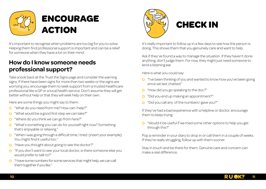

It's important to recognise when problems are too big for you to solve. Helping them find professional support is important and can be a relief for someone when they have a lot on their mind.

## **How do I know someone needs professional support?**

Take a look back at the Trust the Signs page and consider the warning signs. If there have been signs for more than two weeks or the signs are worrying you, encourage them to seek support from a trusted healthcare professional like a GP or a local health service. Don't assume they will get better without help or that they will seek help on their own.

Here are some things you might say to them:

- "What do you need from me? How can I help?"
- "What would be a good first step we can take?" O
- "Where do you think we can go from here?"  $\mathbf O$
- **O** "What's something you can do for yourself right now? Something that's enjoyable or relaxing."
- "When I was going through a difficult time, I tried (insert your example). You might find it useful too."
- **O** "Have you thought about going to see the doctor?"
- **O** "If you don't want to see your local doctor, is there someone else you would prefer to talk to?"
- **O** "I have some numbers for some services that might help, we can call them together if you like."



It's really important to follow up in a few days to see how the person is doing. This shows them that you genuinely care and want to help.

Ask if they've found a way to manage the situation. If they haven't done anything, don't judge them. For now, they might just need someone to lend a listening ear.

Here is what you could say:

- **O** "I've been thinking of you and wanted to know how you've been going since we last chatted."
- **O** "How did you go speaking to the doc?"
- "Did you end up making an appointment?"
- "Did you call any of the numbers I gave you?"

If they've had a bad experience with a helpline or doctor, encourage them to keep trying.

 "Would it be useful if we tried some other options to help you get through this?"

Pop a reminder in your diary to drop in or call them in a couple of weeks. If they're really struggling, follow up with them sooner.

Stay in touch and be there for them. Genuine care and concern can make a real difference.

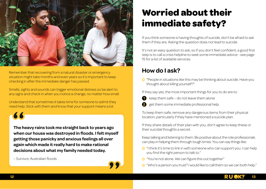

Remember that recovering from a natural disaster or emergency situation might take months and even years so it's important to keep checking in after the immediate danger has passed.

Smells, sights and sounds can trigger emotional distress so be alert to any signs and check in when you notice a change, no matter how small.

Understand that sometimes it takes time for someone to admit they need help. Stick with them and know that your support means a lot.

**The heavy rains took me straight back to years ago when our house was destroyed in floods. I felt myself getting those panicky and anxious feelings all over again which made it really hard to make rational decisions about what my family needed today.**

– Survivor, Australian floods



## **Worried about their immediate safety?**

If you think someone is having thoughts of suicide, don't be afraid to ask them if they are. Asking the question does not lead to suicide.

It's not an easy question to ask, so if you don't feel confident, a good first step is to call a crisis helpline to seek some immediate advice - see page 15 for a list of available services.

## **How do I ask?**

**O** "People in situations like this may be thinking about suicide. Have you thought about killing yourself?"

If they say yes, the most important things for you to do are to:



- **1** keep them safe do not leave them alone
- **2** get them some immediate professional help.

To keep them safe, remove any dangerous items from their physical location, particularly if they have mentioned a suicide plan.

If they share details of their plan with you, don't agree to keep these or their suicidal thoughts a secret.

Keep talking and listening to them. Be positive about the role professionals can play in helping them through tough times. You can say things like:

- **O** "I think it's time to link in with someone who can support you. I can help you find the right person to talk to."
- **O** "You're not alone. We can figure this out together"
- "Who's a person you trust? I would like to call them so we can both help."

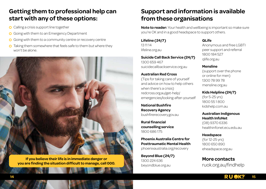## **Getting them to professional help can start with any of these options:**

- **O** Calling a crisis support line together
- **O** Going with them to an Emergency Department
- Going with them to a community centre or recovery centre
- Taking them somewhere that feels safe to them but where they won't be alone.



**If you believe their life is in immediate danger or you are finding the situation difficult to manage, call 000.**

## **Support and information is available from these organisations**

**Note to reader:** Your health and wellbeing is important so make sure you're OK and in a good headspace to support others.

**Lifeline (24/7 )** 13 11 14 lifeline.org.au

**Suicide Call Back Service (24/7)**  1300 659 467 suicidecallbackservice.org.au

### **Australian Red Cross**

(Tips for taking care of yourself and advice on how to help others when there's a crisis) redcross.org.au/get-help/ emergencies/looking-after-yourself

**National Bushfire Recovery Agency** bushfirerecovery.gov.au

**Rural financial counselling service** 1800 686 175

**Phoenix Australia Centre for Posttraumatic Mental Health**  phoenixaustralia.org/recovery

**Beyond Blue (24/7)** 1300 224 636 beyondblue.org.au

## **QLife**

Anonymous and free LGBTI peer support and referral 1800 184 527 qlife.org.au

### **Mensline**

(support over the phone or online for men) 1300 78 99 78 mensline.org.au

**Kids Helpline (24/7)** 

(for 5-25 yrs) 1800 55 1 800 kidshelp.com.au

**Australian Indigenous Health InfoNet**  (08) 9370 6336 healthinfonet.ecu.edu.au

**Headspace**  (for 12-25 yrs) 1800 650 890 eheadspace.org.au

**More contacts**  ruok.org.au/findhelp